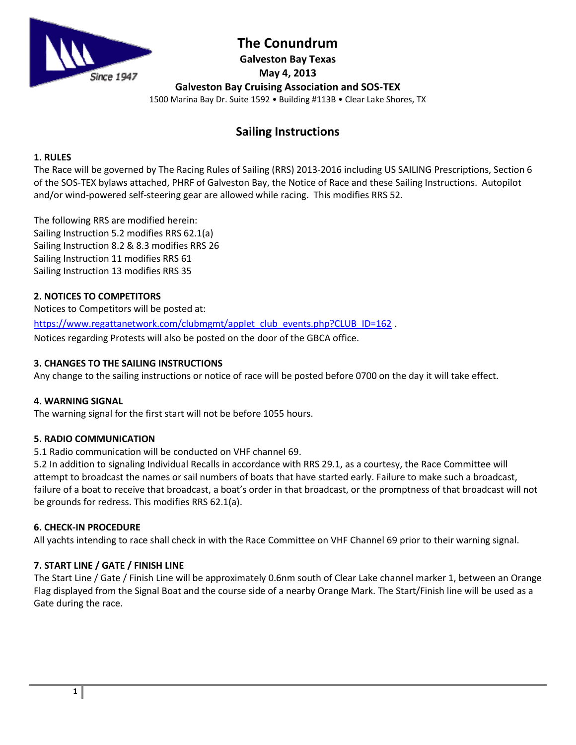

# **The Conundrum**

**Galveston Bay Texas May 4, 2013**

**Galveston Bay Cruising Association and SOS-TEX**

1500 Marina Bay Dr. Suite 1592 • Building #113B • Clear Lake Shores, TX

# **Sailing Instructions**

# **1. RULES**

The Race will be governed by The Racing Rules of Sailing (RRS) 2013-2016 including US SAILING Prescriptions, Section 6 of the SOS-TEX bylaws attached, PHRF of Galveston Bay, the Notice of Race and these Sailing Instructions. Autopilot and/or wind-powered self-steering gear are allowed while racing. This modifies RRS 52.

The following RRS are modified herein: Sailing Instruction 5.2 modifies RRS 62.1(a) Sailing Instruction 8.2 & 8.3 modifies RRS 26 Sailing Instruction 11 modifies RRS 61 Sailing Instruction 13 modifies RRS 35

# **2. NOTICES TO COMPETITORS**

Notices to Competitors will be posted at:

[https://www.regattanetwork.com/clubmgmt/applet\\_club\\_events.php?CLUB\\_ID=162](https://www.regattanetwork.com/clubmgmt/applet_club_events.php?CLUB_ID=162) .

Notices regarding Protests will also be posted on the door of the GBCA office.

# **3. CHANGES TO THE SAILING INSTRUCTIONS**

Any change to the sailing instructions or notice of race will be posted before 0700 on the day it will take effect.

# **4. WARNING SIGNAL**

The warning signal for the first start will not be before 1055 hours.

# **5. RADIO COMMUNICATION**

5.1 Radio communication will be conducted on VHF channel 69.

5.2 In addition to signaling Individual Recalls in accordance with RRS 29.1, as a courtesy, the Race Committee will attempt to broadcast the names or sail numbers of boats that have started early. Failure to make such a broadcast, failure of a boat to receive that broadcast, a boat's order in that broadcast, or the promptness of that broadcast will not be grounds for redress. This modifies RRS 62.1(a).

# **6. CHECK-IN PROCEDURE**

All yachts intending to race shall check in with the Race Committee on VHF Channel 69 prior to their warning signal.

# **7. START LINE / GATE / FINISH LINE**

The Start Line / Gate / Finish Line will be approximately 0.6nm south of Clear Lake channel marker 1, between an Orange Flag displayed from the Signal Boat and the course side of a nearby Orange Mark. The Start/Finish line will be used as a Gate during the race.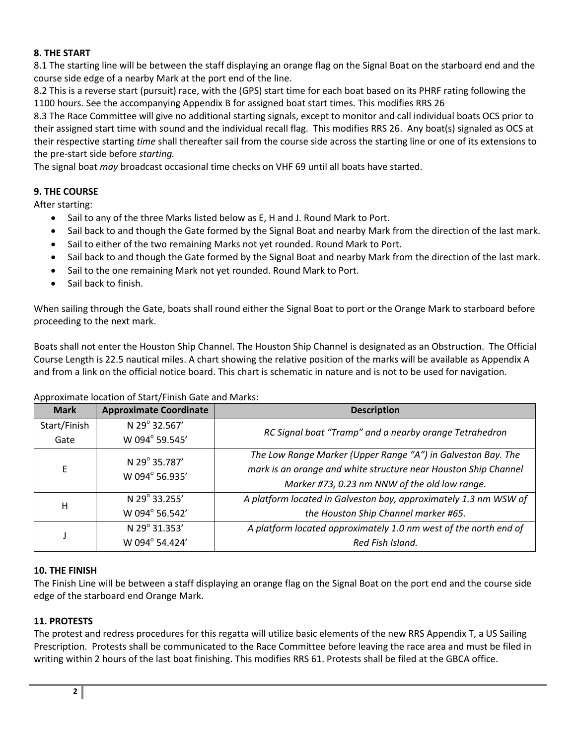### **8. THE START**

8.1 The starting line will be between the staff displaying an orange flag on the Signal Boat on the starboard end and the course side edge of a nearby Mark at the port end of the line.

8.2 This is a reverse start (pursuit) race, with the (GPS) start time for each boat based on its PHRF rating following the 1100 hours. See the accompanying Appendix B for assigned boat start times. This modifies RRS 26

8.3 The Race Committee will give no additional starting signals, except to monitor and call individual boats OCS prior to their assigned start time with sound and the individual recall flag. This modifies RRS 26. Any boat(s) signaled as OCS at their respective starting *time* shall thereafter sail from the course side across the starting line or one of its extensions to the pre-start side before *starting.* 

The signal boat *may* broadcast occasional time checks on VHF 69 until all boats have started.

### **9. THE COURSE**

After starting:

- Sail to any of the three Marks listed below as E, H and J. Round Mark to Port.
- Sail back to and though the Gate formed by the Signal Boat and nearby Mark from the direction of the last mark.
- Sail to either of the two remaining Marks not yet rounded. Round Mark to Port.
- Sail back to and though the Gate formed by the Signal Boat and nearby Mark from the direction of the last mark.
- Sail to the one remaining Mark not yet rounded. Round Mark to Port.
- Sail back to finish.

When sailing through the Gate, boats shall round either the Signal Boat to port or the Orange Mark to starboard before proceeding to the next mark.

Boats shall not enter the Houston Ship Channel. The Houston Ship Channel is designated as an Obstruction. The Official Course Length is 22.5 nautical miles. A chart showing the relative position of the marks will be available as Appendix A and from a link on the official notice board. This chart is schematic in nature and is not to be used for navigation.

#### Approximate location of Start/Finish Gate and Marks:

| <b>Mark</b>  | <b>Approximate Coordinate</b>   | <b>Description</b>                                                                                                                                                                                                                                                                                                              |  |
|--------------|---------------------------------|---------------------------------------------------------------------------------------------------------------------------------------------------------------------------------------------------------------------------------------------------------------------------------------------------------------------------------|--|
| Start/Finish | N 29° 32.567'                   | RC Signal boat "Tramp" and a nearby orange Tetrahedron                                                                                                                                                                                                                                                                          |  |
| Gate         | W 094° 59.545'                  |                                                                                                                                                                                                                                                                                                                                 |  |
| E            | N 29° 35.787'<br>W 094° 56.935' | The Low Range Marker (Upper Range "A") in Galveston Bay. The<br>mark is an orange and white structure near Houston Ship Channel<br>Marker #73, 0.23 nm NNW of the old low range.<br>N 29° 33.255'<br>A platform located in Galveston bay, approximately 1.3 nm WSW of<br>W 094° 56.542'<br>the Houston Ship Channel marker #65. |  |
| H            |                                 |                                                                                                                                                                                                                                                                                                                                 |  |
|              | N 29° 31.353'<br>W 094° 54.424' | A platform located approximately 1.0 nm west of the north end of<br>Red Fish Island.                                                                                                                                                                                                                                            |  |

#### **10. THE FINISH**

The Finish Line will be between a staff displaying an orange flag on the Signal Boat on the port end and the course side edge of the starboard end Orange Mark.

### **11. PROTESTS**

The protest and redress procedures for this regatta will utilize basic elements of the new RRS Appendix T, a US Sailing Prescription. Protests shall be communicated to the Race Committee before leaving the race area and must be filed in writing within 2 hours of the last boat finishing. This modifies RRS 61. Protests shall be filed at the GBCA office.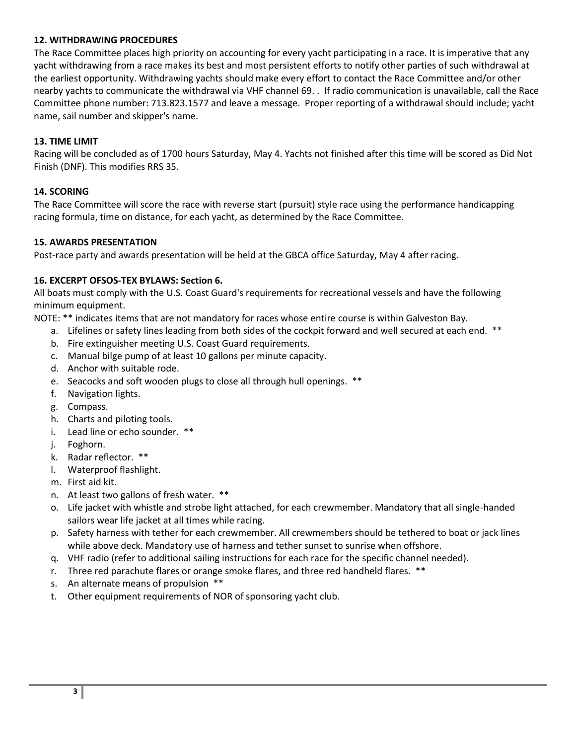### **12. WITHDRAWING PROCEDURES**

The Race Committee places high priority on accounting for every yacht participating in a race. It is imperative that any yacht withdrawing from a race makes its best and most persistent efforts to notify other parties of such withdrawal at the earliest opportunity. Withdrawing yachts should make every effort to contact the Race Committee and/or other nearby yachts to communicate the withdrawal via VHF channel 69. . If radio communication is unavailable, call the Race Committee phone number: 713.823.1577 and leave a message. Proper reporting of a withdrawal should include; yacht name, sail number and skipper's name.

### **13. TIME LIMIT**

Racing will be concluded as of 1700 hours Saturday, May 4. Yachts not finished after this time will be scored as Did Not Finish (DNF). This modifies RRS 35.

### **14. SCORING**

The Race Committee will score the race with reverse start (pursuit) style race using the performance handicapping racing formula, time on distance, for each yacht, as determined by the Race Committee.

#### **15. AWARDS PRESENTATION**

Post-race party and awards presentation will be held at the GBCA office Saturday, May 4 after racing.

### **16. EXCERPT OFSOS-TEX BYLAWS: Section 6.**

All boats must comply with the U.S. Coast Guard's requirements for recreational vessels and have the following minimum equipment.

NOTE: \*\* indicates items that are not mandatory for races whose entire course is within Galveston Bay.

- a. Lifelines or safety lines leading from both sides of the cockpit forward and well secured at each end. \*\*
- b. Fire extinguisher meeting U.S. Coast Guard requirements.
- c. Manual bilge pump of at least 10 gallons per minute capacity.
- d. Anchor with suitable rode.
- e. Seacocks and soft wooden plugs to close all through hull openings. \*\*
- f. Navigation lights.
- g. Compass.
- h. Charts and piloting tools.
- i. Lead line or echo sounder. \*\*
- j. Foghorn.
- k. Radar reflector. \*\*
- l. Waterproof flashlight.
- m. First aid kit.
- n. At least two gallons of fresh water. \*\*
- o. Life jacket with whistle and strobe light attached, for each crewmember. Mandatory that all single-handed sailors wear life jacket at all times while racing.
- p. Safety harness with tether for each crewmember. All crewmembers should be tethered to boat or jack lines while above deck. Mandatory use of harness and tether sunset to sunrise when offshore.
- q. VHF radio (refer to additional sailing instructions for each race for the specific channel needed).
- r. Three red parachute flares or orange smoke flares, and three red handheld flares. \*\*
- s. An alternate means of propulsion \*\*
- t. Other equipment requirements of NOR of sponsoring yacht club.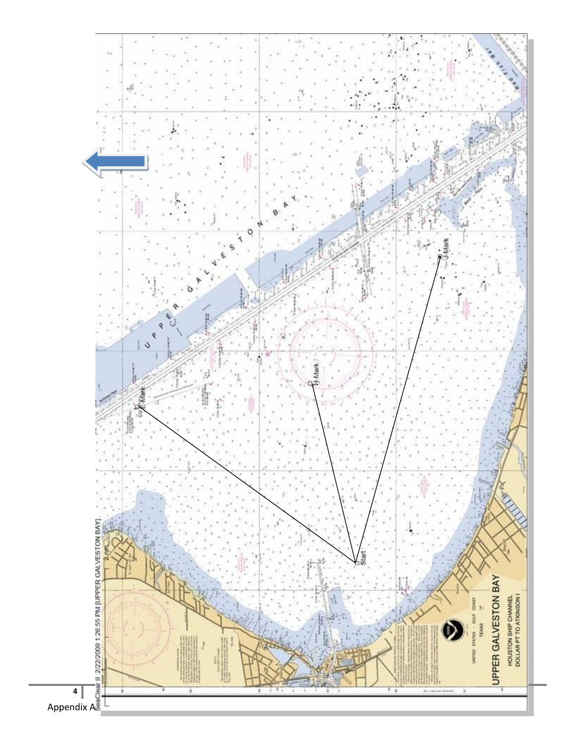